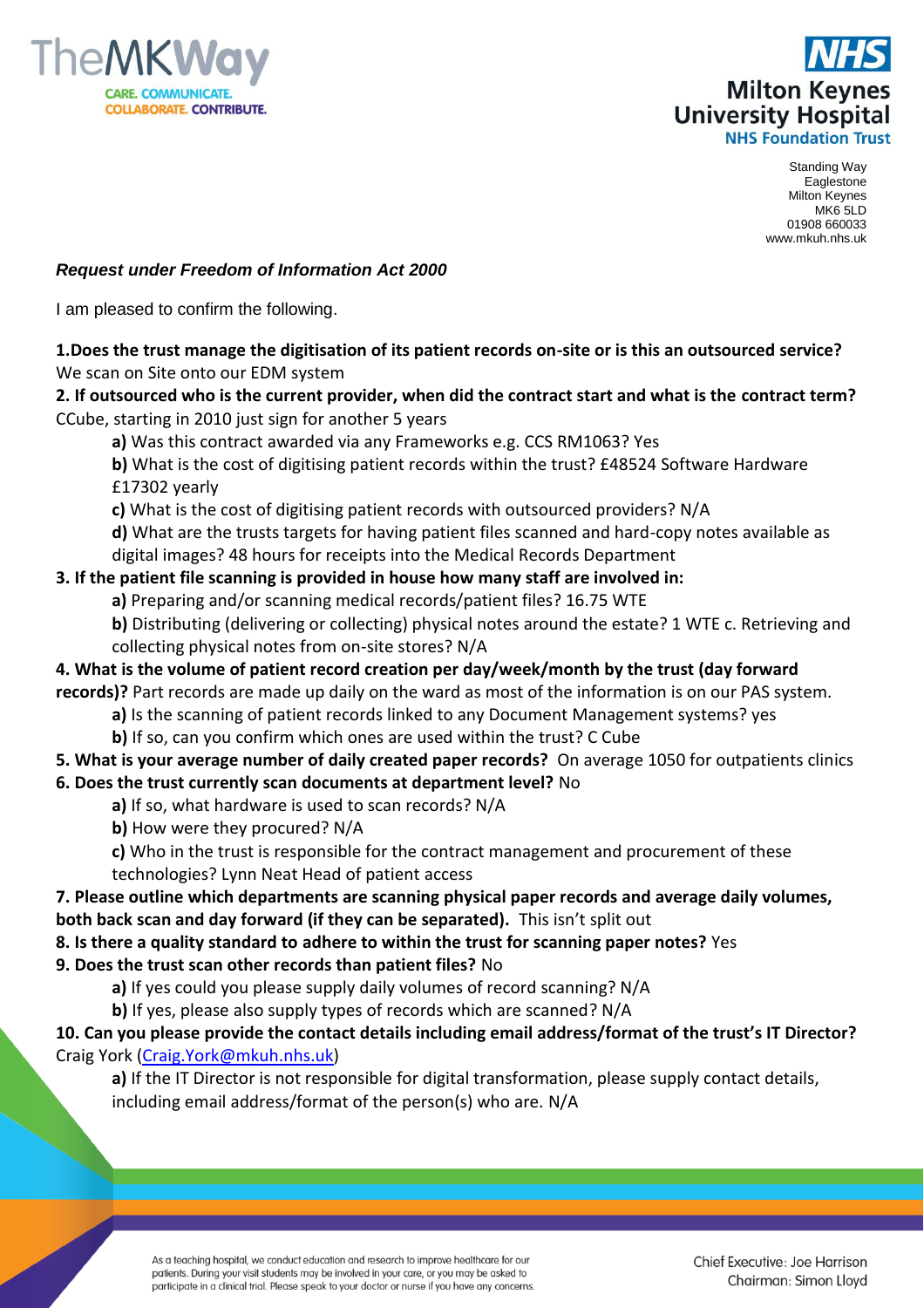



Standing Way Eaglestone Milton Keynes MK6 5LD 01908 660033 www.mkuh.nhs.uk

#### *Request under Freedom of Information Act 2000*

I am pleased to confirm the following.

### **1.Does the trust manage the digitisation of its patient records on-site or is this an outsourced service?** We scan on Site onto our EDM system

**2. If outsourced who is the current provider, when did the contract start and what is the contract term?** CCube, starting in 2010 just sign for another 5 years

**a)** Was this contract awarded via any Frameworks e.g. CCS RM1063? Yes

**b)** What is the cost of digitising patient records within the trust? £48524 Software Hardware £17302 yearly

**c)** What is the cost of digitising patient records with outsourced providers? N/A

**d)** What are the trusts targets for having patient files scanned and hard-copy notes available as digital images? 48 hours for receipts into the Medical Records Department

### **3. If the patient file scanning is provided in house how many staff are involved in:**

- **a)** Preparing and/or scanning medical records/patient files? 16.75 WTE
- **b)** Distributing (delivering or collecting) physical notes around the estate? 1 WTE c. Retrieving and collecting physical notes from on-site stores? N/A

**4. What is the volume of patient record creation per day/week/month by the trust (day forward records)?** Part records are made up daily on the ward as most of the information is on our PAS system.

**a)** Is the scanning of patient records linked to any Document Management systems? yes

**b)** If so, can you confirm which ones are used within the trust? C Cube

# **5. What is your average number of daily created paper records?** On average 1050 for outpatients clinics

- **6. Does the trust currently scan documents at department level?** No
	- **a)** If so, what hardware is used to scan records? N/A
	- **b)** How were they procured? N/A
	- **c)** Who in the trust is responsible for the contract management and procurement of these
	- technologies? Lynn Neat Head of patient access

### **7. Please outline which departments are scanning physical paper records and average daily volumes, both back scan and day forward (if they can be separated).** This isn't split out

### **8. Is there a quality standard to adhere to within the trust for scanning paper notes?** Yes

- **9. Does the trust scan other records than patient files?** No
	- **a)** If yes could you please supply daily volumes of record scanning? N/A

**b)** If yes, please also supply types of records which are scanned? N/A

## **10. Can you please provide the contact details including email address/format of the trust's IT Director?** Craig York [\(Craig.York@mkuh.nhs.uk\)](mailto:Craig.York@mkuh.nhs.uk)

**a)** If the IT Director is not responsible for digital transformation, please supply contact details, including email address/format of the person(s) who are. N/A